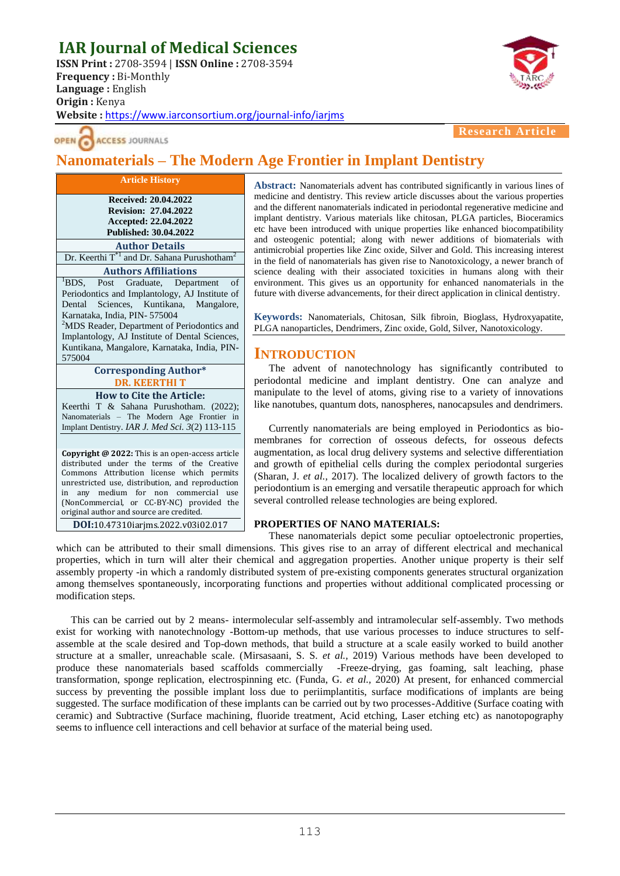# **IAR Journal of Medical Sciences**

**ISSN Print :** 2708-3594 | **ISSN Online :** 2708-3594 **Frequency :** Bi-Monthly **Language :** English **Origin :** Kenya **Website :** <https://www.iarconsortium.org/journal-info/iarjms>



**ACCESS JOURNALS** 

**Research Article**

## **Nanomaterials – The Modern Age Frontier in Implant Dentistry**

**Article History Received: 20.04.2022 Revision: 27.04.2022 Accepted: 22.04.2022 Published: 30.04.2022 Author Details** Dr. Keerthi  $T^{\ast 1}$  and Dr. Sahana Purushotham<sup>2</sup> **Authors Affiliations** <sup>1</sup>BDS, Post Graduate, Department of Periodontics and Implantology, AJ Institute of Dental Sciences, Kuntikana, Mangalore, Karnataka, India, PIN- 575004 <sup>2</sup>MDS Reader, Department of Periodontics and Implantology, AJ Institute of Dental Sciences, Kuntikana, Mangalore, Karnataka, India, PIN-575004 **Corresponding Author\* DR. KEERTHI T How to Cite the Article:** Keerthi T & Sahana Purushotham. (2022); Nanomaterials – The Modern Age Frontier in Implant Dentistry. *IAR J. Med Sci. 3*(2) 113-115 **Copyright @ 2022:** This is an open-access article distributed under the terms of the Creative Commons Attribution license which permits unrestricted use, distribution, and reproduction in any medium for non commercial use (NonCommercial, or CC-BY-NC) provided the original author and source are credited. **DOI:**10.47310iarjms.2022.v03i02.017

**Abstract:** Nanomaterials advent has contributed significantly in various lines of medicine and dentistry. This review article discusses about the various properties and the different nanomaterials indicated in periodontal regenerative medicine and implant dentistry. Various materials like chitosan, PLGA particles, Bioceramics etc have been introduced with unique properties like enhanced biocompatibility and osteogenic potential; along with newer additions of biomaterials with antimicrobial properties like Zinc oxide, Silver and Gold. This increasing interest in the field of nanomaterials has given rise to Nanotoxicology, a newer branch of science dealing with their associated toxicities in humans along with their environment. This gives us an opportunity for enhanced nanomaterials in the future with diverse advancements, for their direct application in clinical dentistry.

**Keywords:** Nanomaterials, Chitosan, Silk fibroin, Bioglass, Hydroxyapatite, PLGA nanoparticles, Dendrimers, Zinc oxide, Gold, Silver, Nanotoxicology.

### **INTRODUCTION**

The advent of nanotechnology has significantly contributed to periodontal medicine and implant dentistry. One can analyze and manipulate to the level of atoms, giving rise to a variety of innovations like nanotubes, quantum dots, nanospheres, nanocapsules and dendrimers.

Currently nanomaterials are being employed in Periodontics as biomembranes for correction of osseous defects, for osseous defects augmentation, as local drug delivery systems and selective differentiation and growth of epithelial cells during the complex periodontal surgeries (Sharan, J. *et al.,* 2017). The localized delivery of growth factors to the periodontium is an emerging and versatile therapeutic approach for which several controlled release technologies are being explored.

#### **PROPERTIES OF NANO MATERIALS:**

These nanomaterials depict some peculiar optoelectronic properties, which can be attributed to their small dimensions. This gives rise to an array of different electrical and mechanical properties, which in turn will alter their chemical and aggregation properties. Another unique property is their self assembly property -in which a randomly distributed system of pre-existing components generates structural organization among themselves spontaneously, incorporating functions and properties without additional complicated processing or modification steps.

This can be carried out by 2 means- intermolecular self-assembly and intramolecular self-assembly. Two methods exist for working with nanotechnology -Bottom-up methods, that use various processes to induce structures to selfassemble at the scale desired and Top-down methods, that build a structure at a scale easily worked to build another structure at a smaller, unreachable scale. (Mirsasaani, S. S. *et al.,* 2019) Various methods have been developed to produce these nanomaterials based scaffolds commercially -Freeze-drying, gas foaming, salt leaching, phase transformation, sponge replication, electrospinning etc. (Funda, G. *et al.,* 2020) At present, for enhanced commercial success by preventing the possible implant loss due to periimplantitis, surface modifications of implants are being suggested. The surface modification of these implants can be carried out by two processes-Additive (Surface coating with ceramic) and Subtractive (Surface machining, fluoride treatment, Acid etching, Laser etching etc) as nanotopography seems to influence cell interactions and cell behavior at surface of the material being used.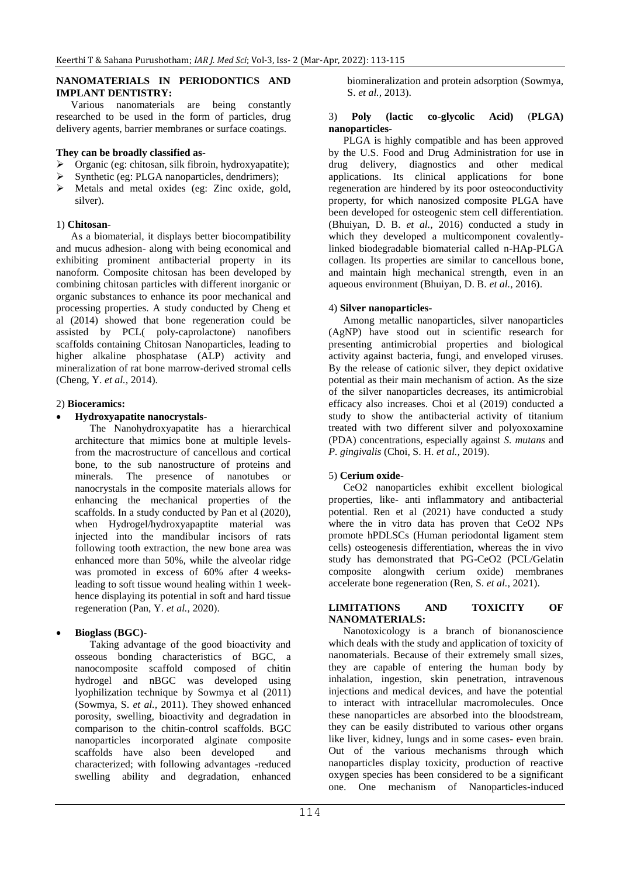#### **NANOMATERIALS IN PERIODONTICS AND IMPLANT DENTISTRY:**

Various nanomaterials are being constantly researched to be used in the form of particles, drug delivery agents, barrier membranes or surface coatings.

#### **They can be broadly classified as-**

- $\triangleright$  Organic (eg: chitosan, silk fibroin, hydroxyapatite);
- $\triangleright$  Synthetic (eg: PLGA nanoparticles, dendrimers);<br> $\triangleright$  Metals and metal oxides (eg: Zinc oxide go
- Metals and metal oxides (eg: Zinc oxide, gold, silver).

#### 1) **Chitosan**-

As a biomaterial, it displays better biocompatibility and mucus adhesion- along with being economical and exhibiting prominent antibacterial property in its nanoform. Composite chitosan has been developed by combining chitosan particles with different inorganic or organic substances to enhance its poor mechanical and processing properties. A study conducted by Cheng et al (2014) showed that bone regeneration could be assisted by PCL( poly-caprolactone) nanofibers scaffolds containing Chitosan Nanoparticles, leading to higher alkaline phosphatase (ALP) activity and mineralization of rat bone marrow-derived stromal cells (Cheng, Y. *et al.,* 2014).

#### 2) **Bioceramics:**

**Hydroxyapatite nanocrystals**-

The Nanohydroxyapatite has a hierarchical architecture that mimics bone at multiple levelsfrom the macrostructure of cancellous and cortical bone, to the sub nanostructure of proteins and minerals. The presence of nanotubes or nanocrystals in the composite materials allows for enhancing the mechanical properties of the scaffolds. In a study conducted by Pan et al (2020), when Hydrogel/hydroxyapaptite material was injected into the mandibular incisors of rats following tooth extraction, the new bone area was enhanced more than 50%, while the alveolar ridge was promoted in excess of 60% after 4 weeksleading to soft tissue wound healing within 1 weekhence displaying its potential in soft and hard tissue regeneration (Pan, Y. *et al.,* 2020).

#### **Bioglass (BGC)**-

Taking advantage of the good bioactivity and osseous bonding characteristics of BGC, a nanocomposite scaffold composed of chitin hydrogel and nBGC was developed using lyophilization technique by Sowmya et al (2011) (Sowmya, S. *et al.,* 2011). They showed enhanced porosity, swelling, bioactivity and degradation in comparison to the chitin-control scaffolds. BGC nanoparticles incorporated alginate composite scaffolds have also been developed and characterized; with following advantages -reduced swelling ability and degradation, enhanced

biomineralization and protein adsorption (Sowmya, S. *et al.,* 2013).

#### 3) **Poly (lactic co-glycolic Acid)** (**PLGA) nanoparticles**-

PLGA is highly compatible and has been approved by the U.S. Food and Drug Administration for use in drug delivery, diagnostics and other medical applications. Its clinical applications for bone regeneration are hindered by its poor osteoconductivity property, for which nanosized composite PLGA have been developed for osteogenic stem cell differentiation. (Bhuiyan, D. B. *et al.,* 2016) conducted a study in which they developed a multicomponent covalentlylinked biodegradable biomaterial called n-HAp-PLGA collagen. Its properties are similar to cancellous bone, and maintain high mechanical strength, even in an aqueous environment (Bhuiyan, D. B. *et al.,* 2016).

#### 4) **Silver nanoparticles**-

Among metallic nanoparticles, silver nanoparticles (AgNP) have stood out in scientific research for presenting antimicrobial properties and biological activity against bacteria, fungi, and enveloped viruses. By the release of cationic silver, they depict oxidative potential as their main mechanism of action. As the size of the silver nanoparticles decreases, its antimicrobial efficacy also increases. Choi et al (2019) conducted a study to show the antibacterial activity of titanium treated with two different silver and polyoxoxamine (PDA) concentrations, especially against *S. mutans* and *P. gingivalis* (Choi, S. H. *et al.,* 2019).

#### 5) **Cerium oxide**-

CeO2 nanoparticles exhibit excellent biological properties, like- anti inflammatory and antibacterial potential. Ren et al (2021) have conducted a study where the in vitro data has proven that CeO2 NPs promote hPDLSCs (Human periodontal ligament stem cells) osteogenesis differentiation, whereas the in vivo study has demonstrated that PG-CeO2 (PCL/Gelatin composite alongwith cerium oxide) membranes accelerate bone regeneration (Ren, S. *et al.,* 2021).

#### **LIMITATIONS AND TOXICITY OF NANOMATERIALS:**

Nanotoxicology is a branch of bionanoscience which deals with the study and application of toxicity of nanomaterials. Because of their extremely small sizes, they are capable of entering the human body by inhalation, ingestion, skin penetration, intravenous injections and medical devices, and have the potential to interact with intracellular macromolecules. Once these nanoparticles are absorbed into the bloodstream, they can be easily distributed to various other organs like liver, kidney, lungs and in some cases- even brain. Out of the various mechanisms through which nanoparticles display toxicity, production of reactive oxygen species has been considered to be a significant one. One mechanism of Nanoparticles-induced